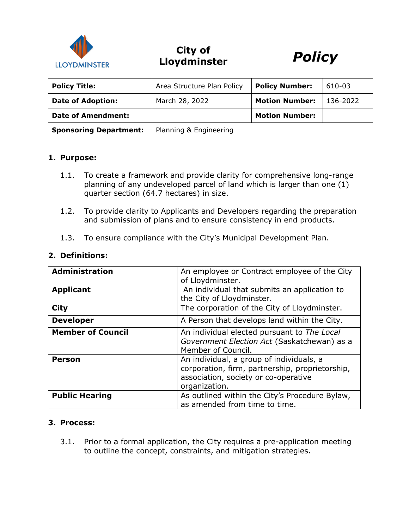

# **City of Lloydminster** *Policy*



| <b>Policy Title:</b>          | Area Structure Plan Policy | <b>Policy Number:</b> | 610-03   |
|-------------------------------|----------------------------|-----------------------|----------|
| <b>Date of Adoption:</b>      | March 28, 2022             | <b>Motion Number:</b> | 136-2022 |
| Date of Amendment:            |                            | <b>Motion Number:</b> |          |
| <b>Sponsoring Department:</b> | Planning & Engineering     |                       |          |

#### **1. Purpose:**

- 1.1. To create a framework and provide clarity for comprehensive long-range planning of any undeveloped parcel of land which is larger than one (1) quarter section (64.7 hectares) in size.
- 1.2. To provide clarity to Applicants and Developers regarding the preparation and submission of plans and to ensure consistency in end products.
- 1.3. To ensure compliance with the City's Municipal Development Plan.

| <b>Administration</b>    | An employee or Contract employee of the City    |
|--------------------------|-------------------------------------------------|
|                          | of Lloydminster.                                |
| <b>Applicant</b>         | An individual that submits an application to    |
|                          | the City of Lloydminster.                       |
|                          |                                                 |
| <b>City</b>              | The corporation of the City of Lloydminster.    |
| <b>Developer</b>         | A Person that develops land within the City.    |
| <b>Member of Council</b> | An individual elected pursuant to The Local     |
|                          | Government Election Act (Saskatchewan) as a     |
|                          | Member of Council.                              |
| <b>Person</b>            | An individual, a group of individuals, a        |
|                          | corporation, firm, partnership, proprietorship, |
|                          |                                                 |
|                          | association, society or co-operative            |
|                          | organization.                                   |
| <b>Public Hearing</b>    | As outlined within the City's Procedure Bylaw,  |
|                          | as amended from time to time.                   |

#### **2. Definitions:**

#### **3. Process:**

3.1. Prior to a formal application, the City requires a pre-application meeting to outline the concept, constraints, and mitigation strategies.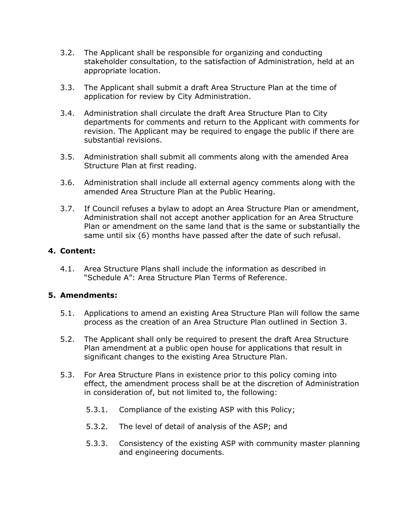- 3.2. The Applicant shall be responsible for organizing and conducting stakeholder consultation, to the satisfaction of Administration, held at an appropriate location.
- 3.3. The Applicant shall submit a draft Area Structure Plan at the time of application for review by City Administration.
- 3.4. Administration shall circulate the draft Area Structure Plan to City departments for comments and return to the Applicant with comments for revision. The Applicant may be required to engage the public if there are substantial revisions.
- 3.5. Administration shall submit all comments along with the amended Area Structure Plan at first reading.
- 3.6. Administration shall include all external agency comments along with the amended Area Structure Plan at the Public Hearing.
- 3.7. If Council refuses a bylaw to adopt an Area Structure Plan or amendment, Administration shall not accept another application for an Area Structure Plan or amendment on the same land that is the same or substantially the same until six (6) months have passed after the date of such refusal.

# **4. Content:**

4.1. Area Structure Plans shall include the information as described in "Schedule A": Area Structure Plan Terms of Reference.

# **5. Amendments:**

- 5.1. Applications to amend an existing Area Structure Plan will follow the same process as the creation of an Area Structure Plan outlined in Section 3.
- 5.2. The Applicant shall only be required to present the draft Area Structure Plan amendment at a public open house for applications that result in significant changes to the existing Area Structure Plan.
- 5.3. For Area Structure Plans in existence prior to this policy coming into effect, the amendment process shall be at the discretion of Administration in consideration of, but not limited to, the following:
	- 5.3.1. Compliance of the existing ASP with this Policy;
	- 5.3.2. The level of detail of analysis of the ASP; and
	- 5.3.3. Consistency of the existing ASP with community master planning and engineering documents.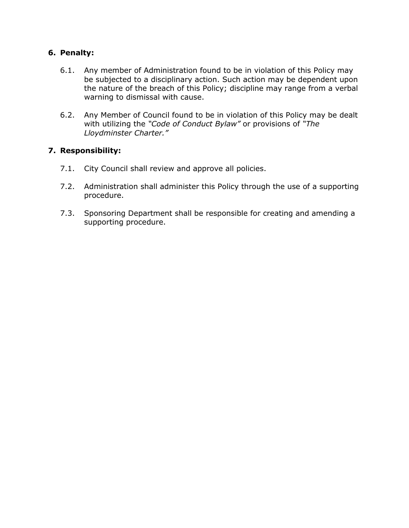# **6. Penalty:**

- 6.1. Any member of Administration found to be in violation of this Policy may be subjected to a disciplinary action. Such action may be dependent upon the nature of the breach of this Policy; discipline may range from a verbal warning to dismissal with cause.
- 6.2. Any Member of Council found to be in violation of this Policy may be dealt with utilizing the *"Code of Conduct Bylaw"* or provisions of *"The Lloydminster Charter."*

# **7. Responsibility:**

- 7.1. City Council shall review and approve all policies.
- 7.2. Administration shall administer this Policy through the use of a supporting procedure.
- 7.3. Sponsoring Department shall be responsible for creating and amending a supporting procedure.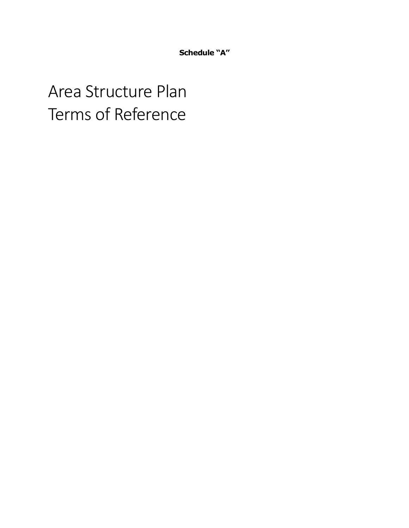**Schedule "A"**

# Area Structure Plan Terms of Reference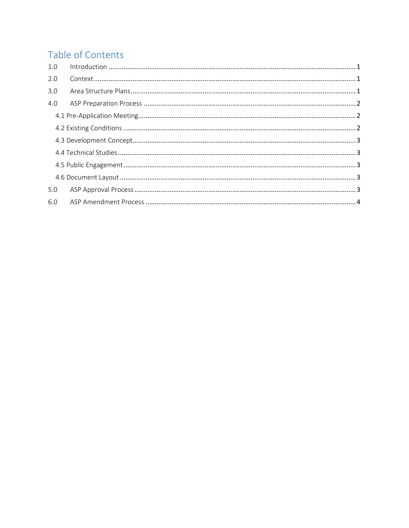# Table of Contents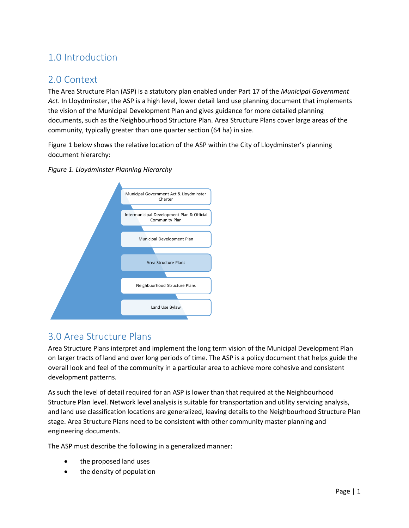# <span id="page-5-0"></span>1.0 Introduction

# <span id="page-5-1"></span>2.0 Context

The Area Structure Plan (ASP) is a statutory plan enabled under Part 17 of the *Municipal Government Act*. In Lloydminster, the ASP is a high level, lower detail land use planning document that implements the vision of the Municipal Development Plan and gives guidance for more detailed planning documents, such as the Neighbourhood Structure Plan. Area Structure Plans cover large areas of the community, typically greater than one quarter section (64 ha) in size.

Figure 1 below shows the relative location of the ASP within the City of Lloydminster's planning document hierarchy:



*Figure 1. Lloydminster Planning Hierarchy*

# <span id="page-5-2"></span>3.0 Area Structure Plans

Area Structure Plans interpret and implement the long term vision of the Municipal Development Plan on larger tracts of land and over long periods of time. The ASP is a policy document that helps guide the overall look and feel of the community in a particular area to achieve more cohesive and consistent development patterns.

As such the level of detail required for an ASP is lower than that required at the Neighbourhood Structure Plan level. Network level analysis is suitable for transportation and utility servicing analysis, and land use classification locations are generalized, leaving details to the Neighbourhood Structure Plan stage. Area Structure Plans need to be consistent with other community master planning and engineering documents.

The ASP must describe the following in a generalized manner:

- the proposed land uses
- the density of population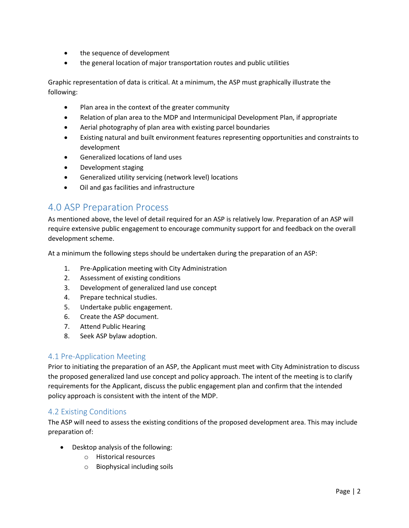- the sequence of development
- the general location of major transportation routes and public utilities

Graphic representation of data is critical. At a minimum, the ASP must graphically illustrate the following:

- Plan area in the context of the greater community
- Relation of plan area to the MDP and Intermunicipal Development Plan, if appropriate
- Aerial photography of plan area with existing parcel boundaries
- Existing natural and built environment features representing opportunities and constraints to development
- Generalized locations of land uses
- Development staging
- Generalized utility servicing (network level) locations
- Oil and gas facilities and infrastructure

# <span id="page-6-0"></span>4.0 ASP Preparation Process

As mentioned above, the level of detail required for an ASP is relatively low. Preparation of an ASP will require extensive public engagement to encourage community support for and feedback on the overall development scheme.

At a minimum the following steps should be undertaken during the preparation of an ASP:

- 1. Pre-Application meeting with City Administration
- 2. Assessment of existing conditions
- 3. Development of generalized land use concept
- 4. Prepare technical studies.
- 5. Undertake public engagement.
- 6. Create the ASP document.
- 7. Attend Public Hearing
- 8. Seek ASP bylaw adoption.

# <span id="page-6-1"></span>4.1 Pre-Application Meeting

Prior to initiating the preparation of an ASP, the Applicant must meet with City Administration to discuss the proposed generalized land use concept and policy approach. The intent of the meeting is to clarify requirements for the Applicant, discuss the public engagement plan and confirm that the intended policy approach is consistent with the intent of the MDP.

# <span id="page-6-2"></span>4.2 Existing Conditions

The ASP will need to assess the existing conditions of the proposed development area. This may include preparation of:

- Desktop analysis of the following:
	- o Historical resources
	- o Biophysical including soils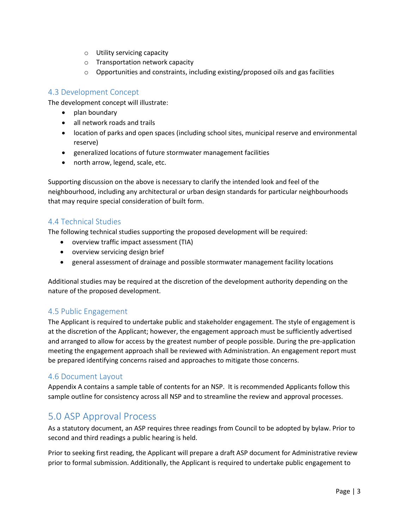- o Utility servicing capacity
- o Transportation network capacity
- $\circ$  Opportunities and constraints, including existing/proposed oils and gas facilities

# <span id="page-7-0"></span>4.3 Development Concept

The development concept will illustrate:

- plan boundary
- all network roads and trails
- location of parks and open spaces (including school sites, municipal reserve and environmental reserve)
- generalized locations of future stormwater management facilities
- north arrow, legend, scale, etc.

Supporting discussion on the above is necessary to clarify the intended look and feel of the neighbourhood, including any architectural or urban design standards for particular neighbourhoods that may require special consideration of built form.

# <span id="page-7-1"></span>4.4 Technical Studies

The following technical studies supporting the proposed development will be required:

- overview traffic impact assessment (TIA)
- overview servicing design brief
- general assessment of drainage and possible stormwater management facility locations

Additional studies may be required at the discretion of the development authority depending on the nature of the proposed development.

# <span id="page-7-2"></span>4.5 Public Engagement

The Applicant is required to undertake public and stakeholder engagement. The style of engagement is at the discretion of the Applicant; however, the engagement approach must be sufficiently advertised and arranged to allow for access by the greatest number of people possible. During the pre-application meeting the engagement approach shall be reviewed with Administration. An engagement report must be prepared identifying concerns raised and approaches to mitigate those concerns.

# <span id="page-7-3"></span>4.6 Document Layout

Appendix A contains a sample table of contents for an NSP. It is recommended Applicants follow this sample outline for consistency across all NSP and to streamline the review and approval processes.

# <span id="page-7-4"></span>5.0 ASP Approval Process

As a statutory document, an ASP requires three readings from Council to be adopted by bylaw. Prior to second and third readings a public hearing is held.

Prior to seeking first reading, the Applicant will prepare a draft ASP document for Administrative review prior to formal submission. Additionally, the Applicant is required to undertake public engagement to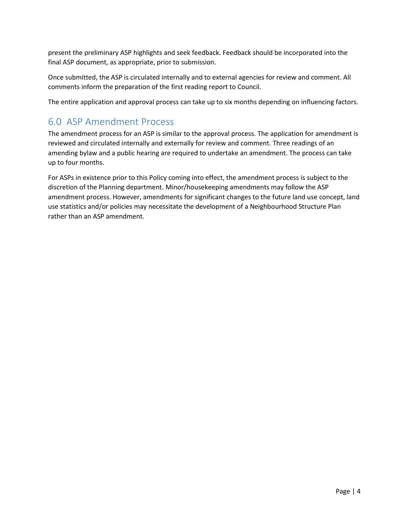present the preliminary ASP highlights and seek feedback. Feedback should be incorporated into the final ASP document, as appropriate, prior to submission.

Once submitted, the ASP is circulated internally and to external agencies for review and comment. All comments inform the preparation of the first reading report to Council.

The entire application and approval process can take up to six months depending on influencing factors.

# <span id="page-8-0"></span>6.0 ASP Amendment Process

The amendment process for an ASP is similar to the approval process. The application for amendment is reviewed and circulated internally and externally for review and comment. Three readings of an amending bylaw and a public hearing are required to undertake an amendment. The process can take up to four months.

For ASPs in existence prior to this Policy coming into effect, the amendment process is subject to the discretion of the Planning department. Minor/housekeeping amendments may follow the ASP amendment process. However, amendments for significant changes to the future land use concept, land use statistics and/or policies may necessitate the development of a Neighbourhood Structure Plan rather than an ASP amendment.